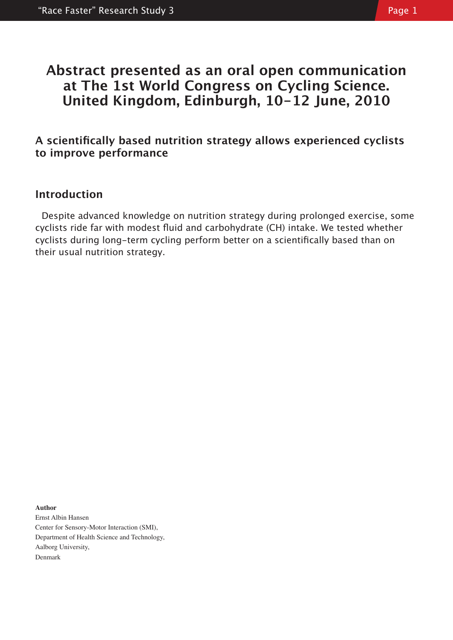# **Abstract presented as an oral open communication at The 1st World Congress on Cycling Science. United Kingdom, Edinburgh, 10-12 June, 2010**

## **A scientifically based nutrition strategy allows experienced cyclists to improve performance**

## **Introduction**

Despite advanced knowledge on nutrition strategy during prolonged exercise, some cyclists ride far with modest fluid and carbohydrate (CH) intake. We tested whether cyclists during long-term cycling perform better on a scientifically based than on their usual nutrition strategy.

**Author** Ernst Albin Hansen Center for Sensory-Motor Interaction (SMI), Department of Health Science and Technology, Aalborg University, Denmark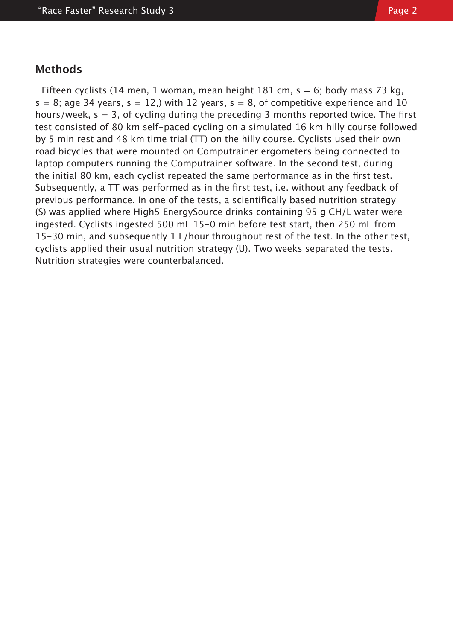### **Methods**

Fifteen cyclists (14 men, 1 woman, mean height 181 cm,  $s = 6$ ; body mass 73 kg,  $s = 8$ ; age 34 years,  $s = 12$ , with 12 years,  $s = 8$ , of competitive experience and 10 hours/week,  $s = 3$ , of cycling during the preceding 3 months reported twice. The first test consisted of 80 km self-paced cycling on a simulated 16 km hilly course followed by 5 min rest and 48 km time trial (TT) on the hilly course. Cyclists used their own road bicycles that were mounted on Computrainer ergometers being connected to laptop computers running the Computrainer software. In the second test, during the initial 80 km, each cyclist repeated the same performance as in the first test. Subsequently, a TT was performed as in the first test, i.e. without any feedback of previous performance. In one of the tests, a scientifically based nutrition strategy (S) was applied where High5 EnergySource drinks containing 95 g CH/L water were ingested. Cyclists ingested 500 mL 15-0 min before test start, then 250 mL from 15-30 min, and subsequently 1 L/hour throughout rest of the test. In the other test, cyclists applied their usual nutrition strategy (U). Two weeks separated the tests. Nutrition strategies were counterbalanced.